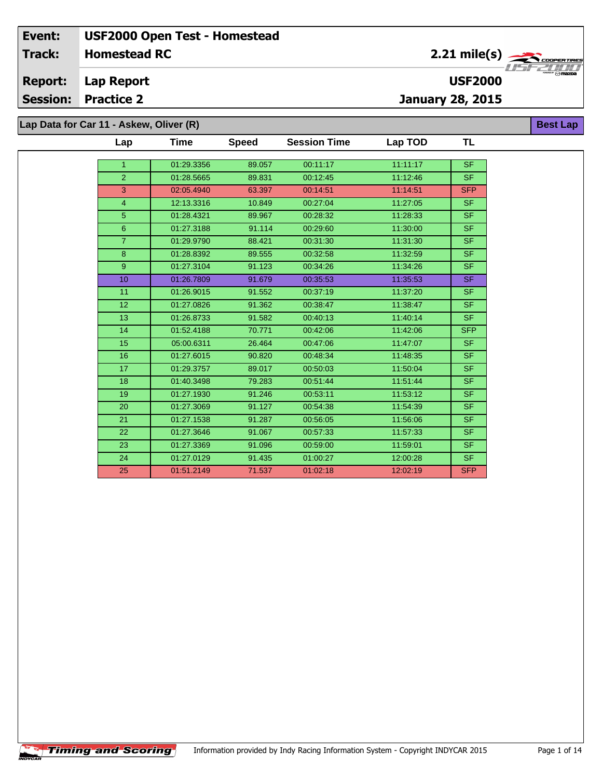**Lap Report Report:**

**Session: Practice 2**

**January 28, 2015**

**Lap Data for Car 11 - Askew, Oliver (R)**

| Lap             | Time       | <b>Speed</b> | <b>Session Time</b> | Lap TOD  | TL                       |
|-----------------|------------|--------------|---------------------|----------|--------------------------|
|                 |            |              |                     |          |                          |
| $\mathbf{1}$    | 01:29.3356 | 89.057       | 00:11:17            | 11:11:17 | <b>SF</b>                |
| $\overline{2}$  | 01:28.5665 | 89.831       | 00:12:45            | 11:12:46 | <b>SF</b>                |
| 3               | 02:05.4940 | 63.397       | 00:14:51            | 11:14:51 | <b>SFP</b>               |
| $\overline{4}$  | 12:13.3316 | 10.849       | 00:27:04            | 11:27:05 | SF.                      |
| $\overline{5}$  | 01:28.4321 | 89.967       | 00:28:32            | 11:28:33 | <b>SF</b>                |
| 6               | 01:27.3188 | 91.114       | 00:29:60            | 11:30:00 | SF.                      |
| $\overline{7}$  | 01:29.9790 | 88.421       | 00:31:30            | 11:31:30 | $\overline{\mathsf{SF}}$ |
| 8               | 01:28.8392 | 89.555       | 00:32:58            | 11:32:59 | <b>SF</b>                |
| 9               | 01:27.3104 | 91.123       | 00:34:26            | 11:34:26 | SF.                      |
| 10              | 01:26.7809 | 91.679       | 00:35:53            | 11:35:53 | <b>SF</b>                |
| 11              | 01:26.9015 | 91.552       | 00:37:19            | 11:37:20 | <b>SF</b>                |
| 12 <sub>2</sub> | 01:27.0826 | 91.362       | 00:38:47            | 11:38:47 | <b>SF</b>                |
| 13              | 01:26.8733 | 91.582       | 00:40:13            | 11:40:14 | <b>SF</b>                |
| 14              | 01:52.4188 | 70.771       | 00:42:06            | 11:42:06 | <b>SFP</b>               |
| 15              | 05:00.6311 | 26.464       | 00:47:06            | 11:47:07 | <b>SF</b>                |
| 16              | 01:27.6015 | 90.820       | 00:48:34            | 11:48:35 | <b>SF</b>                |
| 17              | 01:29.3757 | 89.017       | 00:50:03            | 11:50:04 | <b>SF</b>                |
| 18              | 01:40.3498 | 79.283       | 00:51:44            | 11:51:44 | SF.                      |
| 19              | 01:27.1930 | 91.246       | 00:53:11            | 11:53:12 | <b>SF</b>                |
| 20              | 01:27.3069 | 91.127       | 00:54:38            | 11:54:39 | <b>SF</b>                |
| 21              | 01:27.1538 | 91.287       | 00:56:05            | 11:56:06 | <b>SF</b>                |
| 22              | 01:27.3646 | 91.067       | 00:57:33            | 11:57:33 | SF.                      |
| 23              | 01:27.3369 | 91.096       | 00:59:00            | 11:59:01 | <b>SF</b>                |
| 24              | 01:27.0129 | 91.435       | 01:00:27            | 12:00:28 | SF.                      |
| 25              | 01:51.2149 | 71.537       | 01:02:18            | 12:02:19 | <b>SFP</b>               |
|                 |            |              |                     |          |                          |



**Best Lap**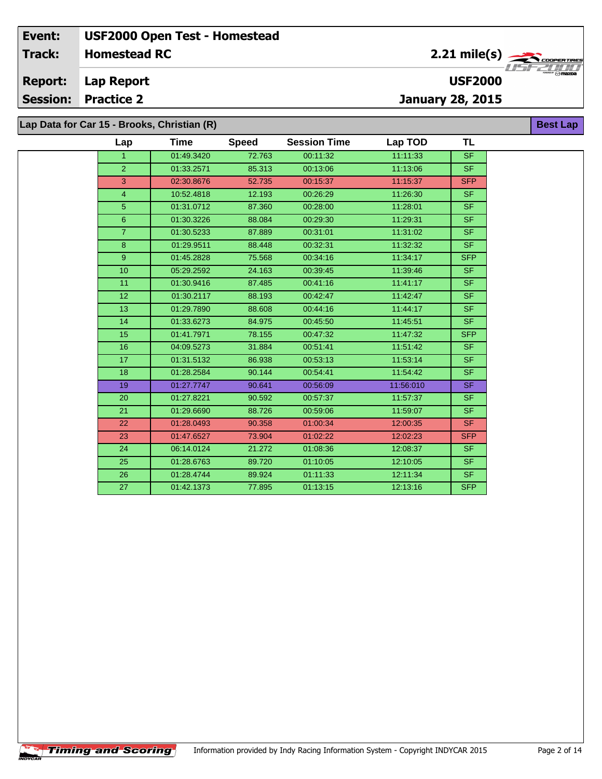**Lap Report Report:**

**Session: Practice 2**

# **Lap Data for Car 15 - Brooks, Christian (R)**

**Timing and Scoring** 

 $\overline{\phantom{a}}$ 

| Data for Car 15 - Brooks, Christian (R)<br><b>Best Lap</b> |                 |             |              |                     |           |            |  |  |  |  |
|------------------------------------------------------------|-----------------|-------------|--------------|---------------------|-----------|------------|--|--|--|--|
|                                                            | Lap             | <b>Time</b> | <b>Speed</b> | <b>Session Time</b> | Lap TOD   | <b>TL</b>  |  |  |  |  |
|                                                            | $\mathbf{1}$    | 01:49.3420  | 72.763       | 00:11:32            | 11:11:33  | <b>SF</b>  |  |  |  |  |
|                                                            | $\overline{2}$  | 01:33.2571  | 85.313       | 00:13:06            | 11:13:06  | <b>SF</b>  |  |  |  |  |
|                                                            | 3 <sup>1</sup>  | 02:30.8676  | 52.735       | 00:15:37            | 11:15:37  | <b>SFP</b> |  |  |  |  |
|                                                            | $\overline{4}$  | 10:52.4818  | 12.193       | 00:26:29            | 11:26:30  | <b>SF</b>  |  |  |  |  |
|                                                            | 5 <sup>5</sup>  | 01:31.0712  | 87.360       | 00:28:00            | 11:28:01  | <b>SF</b>  |  |  |  |  |
|                                                            | 6 <sup>1</sup>  | 01:30.3226  | 88.084       | 00:29:30            | 11:29:31  | <b>SF</b>  |  |  |  |  |
|                                                            | $\overline{7}$  | 01:30.5233  | 87.889       | 00:31:01            | 11:31:02  | <b>SF</b>  |  |  |  |  |
|                                                            | 8               | 01:29.9511  | 88.448       | 00:32:31            | 11:32:32  | <b>SF</b>  |  |  |  |  |
|                                                            | 9               | 01:45.2828  | 75.568       | 00:34:16            | 11:34:17  | <b>SFP</b> |  |  |  |  |
|                                                            | 10 <sup>°</sup> | 05:29.2592  | 24.163       | 00:39:45            | 11:39:46  | <b>SF</b>  |  |  |  |  |
|                                                            | 11              | 01:30.9416  | 87.485       | 00:41:16            | 11:41:17  | <b>SF</b>  |  |  |  |  |
|                                                            | 12 <sup>°</sup> | 01:30.2117  | 88.193       | 00:42:47            | 11:42:47  | SF.        |  |  |  |  |
|                                                            | 13              | 01:29.7890  | 88.608       | 00:44:16            | 11:44:17  | <b>SF</b>  |  |  |  |  |
|                                                            | 14              | 01:33.6273  | 84.975       | 00:45:50            | 11:45:51  | <b>SF</b>  |  |  |  |  |
|                                                            | 15              | 01:41.7971  | 78.155       | 00:47:32            | 11:47:32  | <b>SFP</b> |  |  |  |  |
|                                                            | 16              | 04:09.5273  | 31.884       | 00:51:41            | 11:51:42  | SF.        |  |  |  |  |
|                                                            | 17              | 01:31.5132  | 86.938       | 00:53:13            | 11:53:14  | <b>SF</b>  |  |  |  |  |
|                                                            | 18              | 01:28.2584  | 90.144       | 00:54:41            | 11:54:42  | <b>SF</b>  |  |  |  |  |
|                                                            | 19              | 01:27.7747  | 90.641       | 00:56:09            | 11:56:010 | <b>SF</b>  |  |  |  |  |
|                                                            | 20              | 01:27.8221  | 90.592       | 00:57:37            | 11:57:37  | <b>SF</b>  |  |  |  |  |
|                                                            | 21              | 01:29.6690  | 88.726       | 00:59:06            | 11:59:07  | <b>SF</b>  |  |  |  |  |
|                                                            | 22              | 01:28.0493  | 90.358       | 01:00:34            | 12:00:35  | <b>SF</b>  |  |  |  |  |
|                                                            | 23              | 01:47.6527  | 73.904       | 01:02:22            | 12:02:23  | <b>SFP</b> |  |  |  |  |
|                                                            | 24              | 06:14.0124  | 21.272       | 01:08:36            | 12:08:37  | <b>SF</b>  |  |  |  |  |
|                                                            | 25              | 01:28.6763  | 89.720       | 01:10:05            | 12:10:05  | <b>SF</b>  |  |  |  |  |
|                                                            | 26              | 01:28.4744  | 89.924       | 01:11:33            | 12:11:34  | SF.        |  |  |  |  |
|                                                            | 27              | 01:42.1373  | 77.895       | 01:13:15            | 12:13:16  | <b>SFP</b> |  |  |  |  |



**January 28, 2015 USF2000**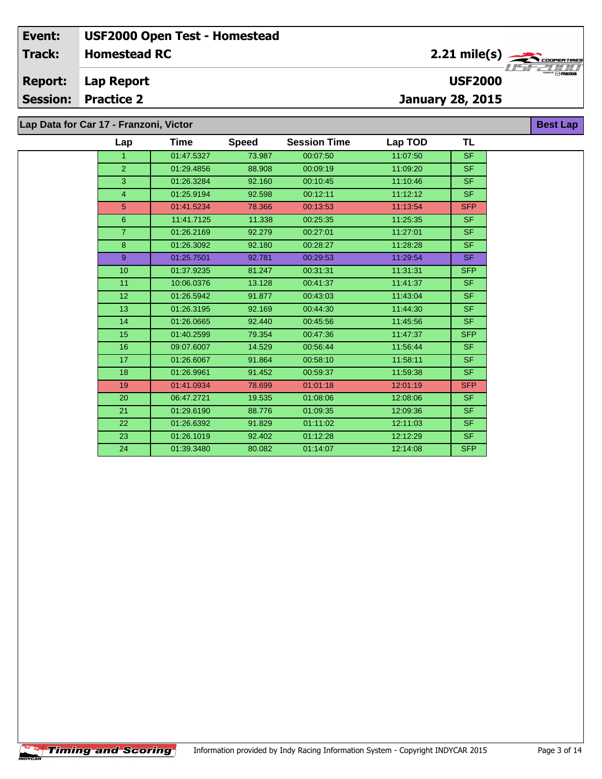**Lap Report Report:**

**Session: Practice 2**

 $\overline{\phantom{a}}$ 

**January 28, 2015**

**Lap Data for Car 17 - Franzoni, Victor**

| Lap             | Time       | <b>Speed</b> | <b>Session Time</b> | Lap TOD  | TL         |  |
|-----------------|------------|--------------|---------------------|----------|------------|--|
| $\mathbf{1}$    | 01:47.5327 | 73.987       | 00:07:50            | 11:07:50 | <b>SF</b>  |  |
| $\overline{2}$  | 01:29.4856 | 88.908       | 00:09:19            | 11:09:20 | SF.        |  |
| 3               | 01:26.3284 | 92.160       | 00:10:45            | 11:10:46 | SF.        |  |
| $\overline{4}$  | 01:25.9194 | 92.598       | 00:12:11            | 11:12:12 | SF.        |  |
| 5               | 01:41.5234 | 78.366       | 00:13:53            | 11:13:54 | <b>SFP</b> |  |
| $6\phantom{1}$  | 11:41.7125 | 11.338       | 00:25:35            | 11:25:35 | SF.        |  |
| $\overline{7}$  | 01:26.2169 | 92.279       | 00:27:01            | 11:27:01 | SF.        |  |
| 8               | 01:26.3092 | 92.180       | 00:28:27            | 11:28:28 | <b>SF</b>  |  |
| 9 <sup>°</sup>  | 01:25.7501 | 92.781       | 00:29:53            | 11:29:54 | SF.        |  |
| 10              | 01:37.9235 | 81.247       | 00:31:31            | 11:31:31 | <b>SFP</b> |  |
| 11              | 10:06.0376 | 13.128       | 00:41:37            | 11:41:37 | <b>SF</b>  |  |
| 12 <sup>°</sup> | 01:26.5942 | 91.877       | 00:43:03            | 11:43:04 | SF.        |  |
| 13              | 01:26.3195 | 92.169       | 00:44:30            | 11:44:30 | SF.        |  |
| 14              | 01:26.0665 | 92.440       | 00:45:56            | 11:45:56 | SF.        |  |
| 15              | 01:40.2599 | 79.354       | 00:47:36            | 11:47:37 | <b>SFP</b> |  |
| 16              | 09:07.6007 | 14.529       | 00:56:44            | 11:56:44 | <b>SF</b>  |  |
| 17              | 01:26.6067 | 91.864       | 00:58:10            | 11:58:11 | <b>SF</b>  |  |
| 18              | 01:26.9961 | 91.452       | 00:59:37            | 11:59:38 | <b>SF</b>  |  |
| 19              | 01:41.0934 | 78.699       | 01:01:18            | 12:01:19 | <b>SFP</b> |  |
| 20              | 06:47.2721 | 19.535       | 01:08:06            | 12:08:06 | <b>SF</b>  |  |
| 21              | 01:29.6190 | 88.776       | 01:09:35            | 12:09:36 | <b>SF</b>  |  |
| 22              | 01:26.6392 | 91.829       | 01:11:02            | 12:11:03 | <b>SF</b>  |  |
| 23              | 01:26.1019 | 92.402       | 01:12:28            | 12:12:29 | SF.        |  |
| 24              | 01:39.3480 | 80.082       | 01:14:07            | 12:14:08 | <b>SFP</b> |  |



**Best Lap**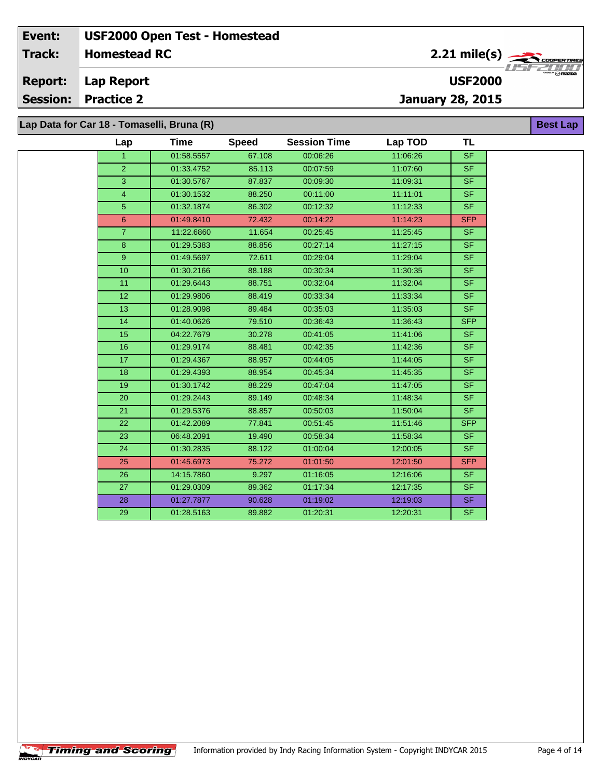**Lap Report Report:**

**Session: Practice 2**

# **Lap Data for Car 18 - Tomaselli, Bruna (R)**

**Timing and Scoring** 

 $\overline{\phantom{a}}$ 

|                 | Data for Car 18 - Tomaselli, Bruna (R) |              |                     |          |                          | <b>Best Lap</b> |
|-----------------|----------------------------------------|--------------|---------------------|----------|--------------------------|-----------------|
| Lap             | <b>Time</b>                            | <b>Speed</b> | <b>Session Time</b> | Lap TOD  | <b>TL</b>                |                 |
| $\mathbf{1}$    | 01:58.5557                             | 67.108       | 00:06:26            | 11:06:26 | <b>SF</b>                |                 |
| $\overline{2}$  | 01:33.4752                             | 85.113       | 00:07:59            | 11:07:60 | <b>SF</b>                |                 |
| 3               | 01:30.5767                             | 87.837       | 00:09:30            | 11:09:31 | $\overline{\mathsf{SF}}$ |                 |
| $\overline{4}$  | 01:30.1532                             | 88.250       | 00:11:00            | 11:11:01 | <b>SF</b>                |                 |
| 5               | 01:32.1874                             | 86.302       | 00:12:32            | 11:12:33 | <b>SF</b>                |                 |
| 6               | 01:49.8410                             | 72.432       | 00:14:22            | 11:14:23 | <b>SFP</b>               |                 |
| 7 <sup>1</sup>  | 11:22.6860                             | 11.654       | 00:25:45            | 11:25:45 | SF.                      |                 |
| 8               | 01:29.5383                             | 88.856       | 00:27:14            | 11:27:15 | <b>SF</b>                |                 |
| 9               | 01:49.5697                             | 72.611       | 00:29:04            | 11:29:04 | <b>SF</b>                |                 |
| 10              | 01:30.2166                             | 88.188       | 00:30:34            | 11:30:35 | <b>SF</b>                |                 |
| 11              | 01:29.6443                             | 88.751       | 00:32:04            | 11:32:04 | <b>SF</b>                |                 |
| 12 <sup>2</sup> | 01:29.9806                             | 88.419       | 00:33:34            | 11:33:34 | <b>SF</b>                |                 |
| 13              | 01:28.9098                             | 89.484       | 00:35:03            | 11:35:03 | <b>SF</b>                |                 |
| 14              | 01:40.0626                             | 79.510       | 00:36:43            | 11:36:43 | <b>SFP</b>               |                 |
| 15              | 04:22.7679                             | 30.278       | 00:41:05            | 11:41:06 | <b>SF</b>                |                 |
| 16              | 01:29.9174                             | 88.481       | 00:42:35            | 11:42:36 | S <sub>F</sub>           |                 |
| 17              | 01:29.4367                             | 88.957       | 00:44:05            | 11:44:05 | <b>SF</b>                |                 |
| 18              | 01:29.4393                             | 88.954       | 00:45:34            | 11:45:35 | <b>SF</b>                |                 |
| 19              | 01:30.1742                             | 88.229       | 00:47:04            | 11:47:05 | <b>SF</b>                |                 |
| 20              | 01:29.2443                             | 89.149       | 00:48:34            | 11:48:34 | <b>SF</b>                |                 |
| 21              | 01:29.5376                             | 88.857       | 00:50:03            | 11:50:04 | <b>SF</b>                |                 |
| 22              | 01:42.2089                             | 77.841       | 00:51:45            | 11:51:46 | <b>SFP</b>               |                 |
| 23              | 06:48.2091                             | 19.490       | 00:58:34            | 11:58:34 | SF.                      |                 |
| 24              | 01:30.2835                             | 88.122       | 01:00:04            | 12:00:05 | <b>SF</b>                |                 |
| 25              | 01:45.6973                             | 75.272       | 01:01:50            | 12:01:50 | <b>SFP</b>               |                 |
| 26              | 14:15.7860                             | 9.297        | 01:16:05            | 12:16:06 | <b>SF</b>                |                 |
| 27              | 01:29.0309                             | 89.362       | 01:17:34            | 12:17:35 | <b>SF</b>                |                 |
| 28              | 01:27.7877                             | 90.628       | 01:19:02            | 12:19:03 | <b>SF</b>                |                 |
| 29              | 01:28.5163                             | 89.882       | 01:20:31            | 12:20:31 | <b>SF</b>                |                 |

**January 28, 2015**

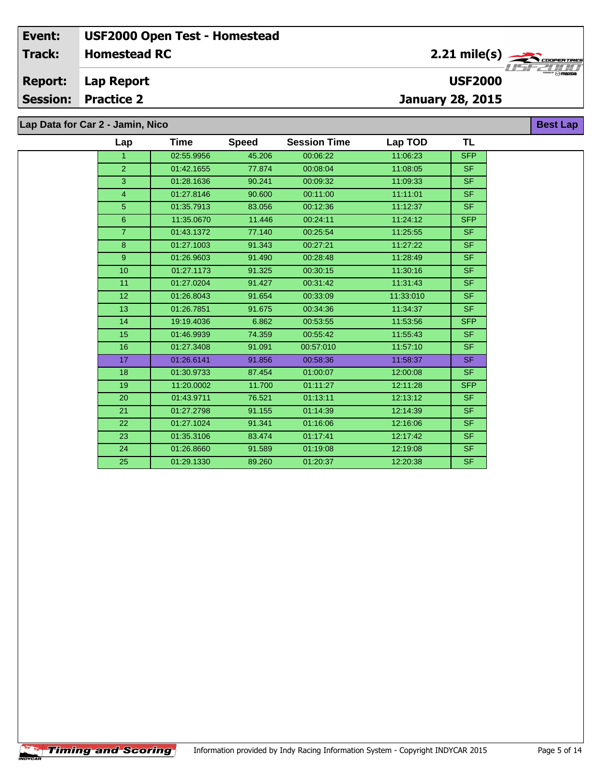**Lap Report Report:**

**Session: Practice 2**

 $\overline{\phantom{a}}$ 

**January 28, 2015**

**Lap Data for Car 2 - Jamin, Nico**

| Lap             | Time       | <b>Speed</b> | <b>Session Time</b> | Lap TOD   | <b>TL</b>  |
|-----------------|------------|--------------|---------------------|-----------|------------|
| 1               | 02:55.9956 | 45.206       | 00:06:22            | 11:06:23  | <b>SFP</b> |
| $\overline{2}$  | 01:42.1655 | 77.874       | 00:08:04            | 11:08:05  | <b>SF</b>  |
| 3               | 01:28.1636 | 90.241       | 00:09:32            | 11:09:33  | <b>SF</b>  |
| $\overline{4}$  | 01:27.8146 | 90.600       | 00:11:00            | 11:11:01  | SF.        |
| 5               | 01:35.7913 | 83.056       | 00:12:36            | 11:12:37  | SF.        |
| 6 <sup>°</sup>  | 11:35.0670 | 11.446       | 00:24:11            | 11:24:12  | <b>SFP</b> |
| $\overline{7}$  | 01:43.1372 | 77.140       | 00:25:54            | 11:25:55  | <b>SF</b>  |
| 8               | 01:27.1003 | 91.343       | 00:27:21            | 11:27:22  | <b>SF</b>  |
| 9 <sup>°</sup>  | 01:26.9603 | 91.490       | 00:28:48            | 11:28:49  | SF.        |
| 10 <sub>1</sub> | 01:27.1173 | 91.325       | 00:30:15            | 11:30:16  | <b>SF</b>  |
| 11              | 01:27.0204 | 91.427       | 00:31:42            | 11:31:43  | SF.        |
| 12 <sup>2</sup> | 01:26.8043 | 91.654       | 00:33:09            | 11:33:010 | <b>SF</b>  |
| 13              | 01:26.7851 | 91.675       | 00:34:36            | 11:34:37  | <b>SF</b>  |
| 14              | 19:19.4036 | 6.862        | 00:53:55            | 11:53:56  | <b>SFP</b> |
| 15              | 01:46.9939 | 74.359       | 00:55:42            | 11:55:43  | <b>SF</b>  |
| 16              | 01:27.3408 | 91.091       | 00:57:010           | 11:57:10  | SF.        |
| 17              | 01:26.6141 | 91.856       | 00:58:36            | 11:58:37  | <b>SF</b>  |
| 18              | 01:30.9733 | 87.454       | 01:00:07            | 12:00:08  | <b>SF</b>  |
| 19              | 11:20.0002 | 11.700       | 01:11:27            | 12:11:28  | <b>SFP</b> |
| 20              | 01:43.9711 | 76.521       | 01:13:11            | 12:13:12  | <b>SF</b>  |
| 21              | 01:27.2798 | 91.155       | 01:14:39            | 12:14:39  | SF.        |
| 22              | 01:27.1024 | 91.341       | 01:16:06            | 12:16:06  | <b>SF</b>  |
| 23              | 01:35.3106 | 83.474       | 01:17:41            | 12:17:42  | SF.        |
| 24              | 01:26.8660 | 91.589       | 01:19:08            | 12:19:08  | SF.        |
| 25              | 01:29.1330 | 89.260       | 01:20:37            | 12:20:38  | <b>SF</b>  |



**Best Lap**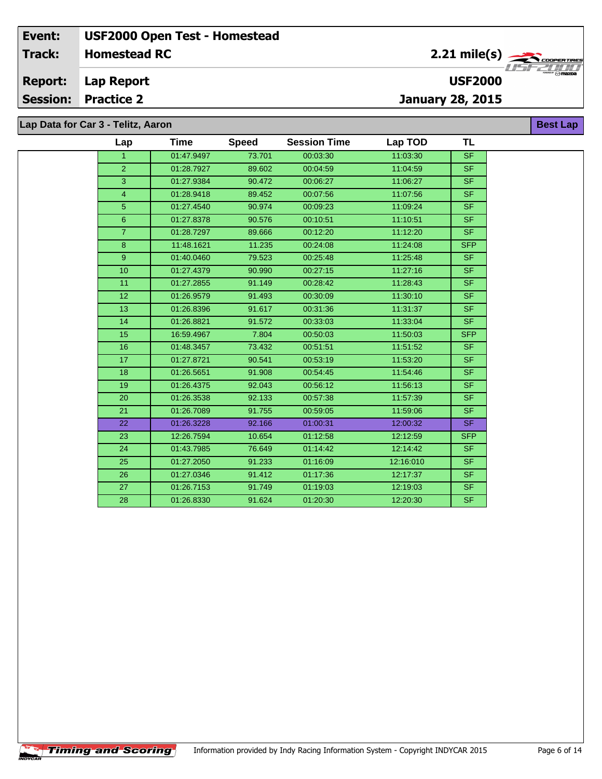**Lap Report Report:**

**Session: Practice 2**

 $\overline{\phantom{a}}$ 

**January 28, 2015**

**Lap Data for Car 3 - Telitz, Aaron**

| Lap             | <b>Time</b> | <b>Speed</b> | <b>Session Time</b> | Lap TOD   | TL                       |
|-----------------|-------------|--------------|---------------------|-----------|--------------------------|
| 1               | 01:47.9497  | 73.701       | 00:03:30            | 11:03:30  | <b>SF</b>                |
| $\overline{2}$  | 01:28.7927  | 89.602       | 00:04:59            | 11:04:59  | <b>SF</b>                |
| 3               | 01:27.9384  | 90.472       | 00:06:27            | 11:06:27  | $\overline{\mathsf{SF}}$ |
| $\overline{4}$  | 01:28.9418  | 89.452       | 00:07:56            | 11:07:56  | <b>SF</b>                |
| $5\overline{5}$ | 01:27.4540  | 90.974       | 00:09:23            | 11:09:24  | $\overline{\mathsf{SF}}$ |
| 6               | 01:27.8378  | 90.576       | 00:10:51            | 11:10:51  | <b>SF</b>                |
| $\overline{7}$  | 01:28.7297  | 89.666       | 00:12:20            | 11:12:20  | S <sub>F</sub>           |
| 8               | 11:48.1621  | 11.235       | 00:24:08            | 11:24:08  | <b>SFP</b>               |
| 9               | 01:40.0460  | 79.523       | 00:25:48            | 11:25:48  | <b>SF</b>                |
| 10 <sup>1</sup> | 01:27.4379  | 90.990       | 00:27:15            | 11:27:16  | SF.                      |
| 11              | 01:27.2855  | 91.149       | 00:28:42            | 11:28:43  | <b>SF</b>                |
| 12              | 01:26.9579  | 91.493       | 00:30:09            | 11:30:10  | <b>SF</b>                |
| 13              | 01:26.8396  | 91.617       | 00:31:36            | 11:31:37  | <b>SF</b>                |
| 14              | 01:26.8821  | 91.572       | 00:33:03            | 11:33:04  | <b>SF</b>                |
| 15              | 16:59.4967  | 7.804        | 00:50:03            | 11:50:03  | <b>SFP</b>               |
| 16              | 01:48.3457  | 73.432       | 00:51:51            | 11:51:52  | <b>SF</b>                |
| 17              | 01:27.8721  | 90.541       | 00:53:19            | 11:53:20  | SF.                      |
| 18              | 01:26.5651  | 91.908       | 00:54:45            | 11:54:46  | <b>SF</b>                |
| 19              | 01:26.4375  | 92.043       | 00:56:12            | 11:56:13  | SF.                      |
| 20              | 01:26.3538  | 92.133       | 00:57:38            | 11:57:39  | <b>SF</b>                |
| 21              | 01:26.7089  | 91.755       | 00:59:05            | 11:59:06  | SF.                      |
| 22              | 01:26.3228  | 92.166       | 01:00:31            | 12:00:32  | SF.                      |
| 23              | 12:26.7594  | 10.654       | 01:12:58            | 12:12:59  | <b>SFP</b>               |
| 24              | 01:43.7985  | 76.649       | 01:14:42            | 12:14:42  | <b>SF</b>                |
| 25              | 01:27.2050  | 91.233       | 01:16:09            | 12:16:010 | <b>SF</b>                |
| 26              | 01:27.0346  | 91.412       | 01:17:36            | 12:17:37  | <b>SF</b>                |
| 27              | 01:26.7153  | 91.749       | 01:19:03            | 12:19:03  | <b>SF</b>                |
| 28              | 01:26.8330  | 91.624       | 01:20:30            | 12:20:30  | <b>SF</b>                |



**Best Lap**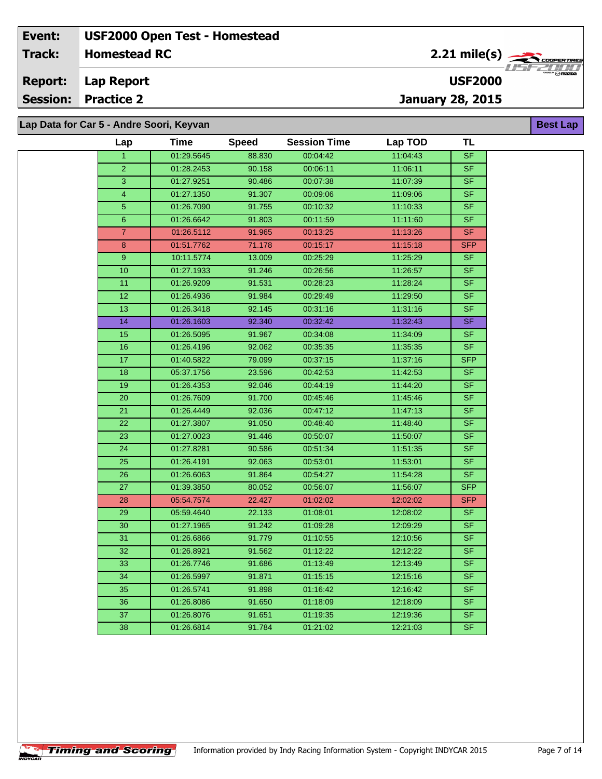**Lap Report Report:**

**Session: Practice 2**

**January 28, 2015**

**Lap Data for Car 5 - Andre Soori, Keyvan**

**Timing and Scoring** 

 $\overline{\phantom{a}}$ 

| Lap             | Time       | <b>Speed</b> | <b>Session Time</b> | Lap TOD  | TL         |
|-----------------|------------|--------------|---------------------|----------|------------|
| 1               | 01:29.5645 | 88.830       | 00:04:42            | 11:04:43 | <b>SF</b>  |
| $\overline{2}$  | 01:28.2453 | 90.158       | 00:06:11            | 11:06:11 | <b>SF</b>  |
| 3               | 01:27.9251 | 90.486       | 00:07:38            | 11:07:39 | <b>SF</b>  |
| 4               | 01:27.1350 | 91.307       | 00:09:06            | 11:09:06 | <b>SF</b>  |
| 5               | 01:26.7090 | 91.755       | 00:10:32            | 11:10:33 | <b>SF</b>  |
| 6               | 01:26.6642 | 91.803       | 00:11:59            | 11:11:60 | <b>SF</b>  |
| $\overline{7}$  | 01:26.5112 | 91.965       | 00:13:25            | 11:13:26 | <b>SF</b>  |
| 8               | 01:51.7762 | 71.178       | 00:15:17            | 11:15:18 | <b>SFP</b> |
| 9               | 10:11.5774 | 13.009       | 00:25:29            | 11:25:29 | SF.        |
| 10              | 01:27.1933 | 91.246       | 00:26:56            | 11:26:57 | <b>SF</b>  |
| 11              | 01:26.9209 | 91.531       | 00:28:23            | 11:28:24 | <b>SF</b>  |
| 12              | 01:26.4936 | 91.984       | 00:29:49            | 11:29:50 | <b>SF</b>  |
| 13              | 01:26.3418 | 92.145       | 00:31:16            | 11:31:16 | <b>SF</b>  |
| 14              | 01:26.1603 | 92.340       | 00:32:42            | 11:32:43 | <b>SF</b>  |
| 15              | 01:26.5095 | 91.967       | 00:34:08            | 11:34:09 | SF.        |
| 16              | 01:26.4196 | 92.062       | 00:35:35            | 11:35:35 | SF.        |
| 17 <sub>2</sub> | 01:40.5822 | 79.099       | 00:37:15            | 11:37:16 | <b>SFP</b> |
| 18              | 05:37.1756 | 23.596       | 00:42:53            | 11:42:53 | <b>SF</b>  |
| 19              | 01:26.4353 | 92.046       | 00:44:19            | 11:44:20 | SF         |
| 20              | 01:26.7609 | 91.700       | 00:45:46            | 11:45:46 | SF.        |
| 21              | 01:26.4449 | 92.036       | 00:47:12            | 11:47:13 | <b>SF</b>  |
| 22              | 01:27.3807 | 91.050       | 00:48:40            | 11:48:40 | <b>SF</b>  |
| 23              | 01:27.0023 | 91.446       | 00:50:07            | 11:50:07 | SF.        |
| 24              | 01:27.8281 | 90.586       | 00:51:34            | 11:51:35 | <b>SF</b>  |
| 25              | 01:26.4191 | 92.063       | 00:53:01            | 11:53:01 | SF.        |
| 26              | 01:26.6063 | 91.864       | 00:54:27            | 11:54:28 | <b>SF</b>  |
| 27              | 01:39.3850 | 80.052       | 00:56:07            | 11:56:07 | <b>SFP</b> |
| 28              | 05:54.7574 | 22.427       | 01:02:02            | 12:02:02 | <b>SFP</b> |
| 29              | 05:59.4640 | 22.133       | 01:08:01            | 12:08:02 | SF.        |
| 30              | 01:27.1965 | 91.242       | 01:09:28            | 12:09:29 | <b>SF</b>  |
| 31              | 01:26.6866 | 91.779       | 01:10:55            | 12:10:56 | <b>SF</b>  |
| 32              | 01:26.8921 | 91.562       | 01:12:22            | 12:12:22 | SF         |
| 33              | 01:26.7746 | 91.686       | 01:13:49            | 12:13:49 | <b>SF</b>  |
| 34              | 01:26.5997 | 91.871       | 01:15:15            | 12:15:16 | <b>SF</b>  |
| 35              | 01:26.5741 | 91.898       | 01:16:42            | 12:16:42 | <b>SF</b>  |
| 36              | 01:26.8086 | 91.650       | 01:18:09            | 12:18:09 | <b>SF</b>  |
| 37              | 01:26.8076 | 91.651       | 01:19:35            | 12:19:36 | SF.        |
| 38              | 01:26.6814 | 91.784       | 01:21:02            | 12:21:03 | <b>SF</b>  |
|                 |            |              |                     |          |            |



**Best Lap**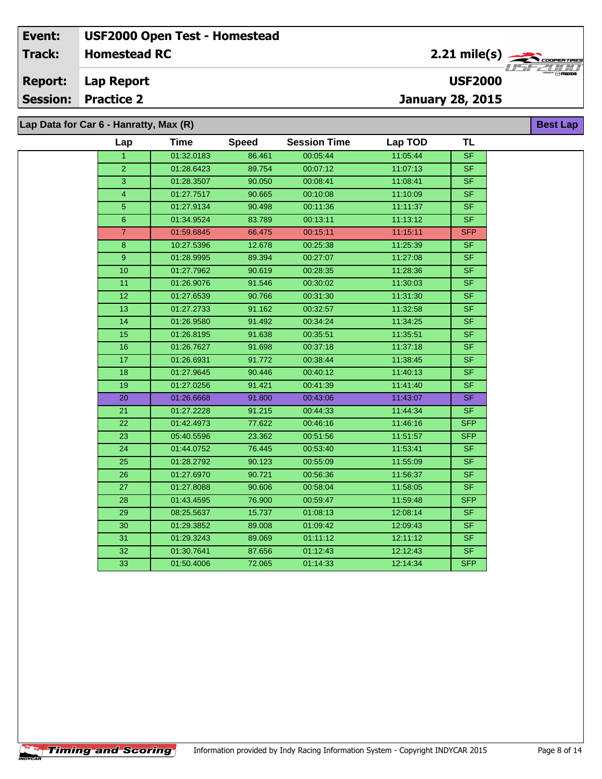**Lap Report Report:**

**Session: Practice 2**

**January 28, 2015**

**Lap Data for Car 6 - Hanratty, Max (R)**

**Timing and Scoring** 

 $\overline{\phantom{a}}$ 

| Lap             | <b>Time</b> | <b>Speed</b> | <b>Session Time</b> | Lap TOD  | <b>TL</b>              |
|-----------------|-------------|--------------|---------------------|----------|------------------------|
| $\mathbf{1}$    | 01:32.0183  | 86.461       | 00:05:44            | 11:05:44 | SF                     |
| $\overline{2}$  | 01:28.6423  | 89.754       | 00:07:12            | 11:07:13 | <b>SF</b>              |
| 3               | 01:28.3507  | 90.050       | 00:08:41            | 11:08:41 | <b>SF</b>              |
| $\overline{4}$  | 01:27.7517  | 90.665       | 00:10:08            | 11:10:09 | <b>SF</b>              |
| 5               | 01:27.9134  | 90.498       | 00:11:36            | 11:11:37 | <b>SF</b>              |
| $6\phantom{1}$  | 01:34.9524  | 83.789       | 00:13:11            | 11:13:12 | SF                     |
| $\overline{7}$  | 01:59.6845  | 66.475       | 00:15:11            | 11:15:11 | <b>SFP</b>             |
| 8               | 10:27.5396  | 12.678       | 00:25:38            | 11:25:39 | <b>SF</b>              |
| 9               | 01:28.9995  | 89.394       | 00:27:07            | 11:27:08 | <b>SF</b>              |
| 10              | 01:27.7962  | 90.619       | 00:28:35            | 11:28:36 | SF                     |
| 11              | 01:26.9076  | 91.546       | 00:30:02            | 11:30:03 | <b>SF</b>              |
| 12              | 01:27.6539  | 90.766       | 00:31:30            | 11:31:30 | $\overline{\text{SF}}$ |
| 13              | 01:27.2733  | 91.162       | 00:32:57            | 11:32:58 | SF                     |
| 14              | 01:26.9580  | 91.492       | 00:34:24            | 11:34:25 | <b>SF</b>              |
| 15              | 01:26.8195  | 91.638       | 00:35:51            | 11:35:51 | <b>SF</b>              |
| 16              | 01:26.7627  | 91.698       | 00:37:18            | 11:37:18 | <b>SF</b>              |
| 17              | 01:26.6931  | 91.772       | 00:38:44            | 11:38:45 | <b>SF</b>              |
| 18              | 01:27.9645  | 90.446       | 00:40:12            | 11:40:13 | SF                     |
| 19              | 01:27.0256  | 91.421       | 00:41:39            | 11:41:40 | <b>SF</b>              |
| 20              | 01:26.6668  | 91.800       | 00:43:06            | 11:43:07 | <b>SF</b>              |
| 21              | 01:27.2228  | 91.215       | 00:44:33            | 11:44:34 | SF                     |
| 22              | 01:42.4973  | 77.622       | 00:46:16            | 11:46:16 | <b>SFP</b>             |
| 23              | 05:40.5596  | 23.362       | 00:51:56            | 11:51:57 | <b>SFP</b>             |
| 24              | 01:44.0752  | 76.445       | 00:53:40            | 11:53:41 | SF                     |
| 25              | 01:28.2792  | 90.123       | 00:55:09            | 11:55:09 | S <sub>F</sub>         |
| 26              | 01:27.6970  | 90.721       | 00:56:36            | 11:56:37 | <b>SF</b>              |
| 27              | 01:27.8088  | 90.606       | 00:58:04            | 11:58:05 | <b>SF</b>              |
| $\overline{28}$ | 01:43.4595  | 76.900       | 00:59:47            | 11:59:48 | <b>SFP</b>             |
| 29              | 08:25.5637  | 15.737       | 01:08:13            | 12:08:14 | <b>SF</b>              |
| 30              | 01:29.3852  | 89.008       | 01:09:42            | 12:09:43 | SF                     |
| 31              | 01:29.3243  | 89.069       | 01:11:12            | 12:11:12 | SF                     |
| 32              | 01:30.7641  | 87.656       | 01:12:43            | 12:12:43 | <b>SF</b>              |
| 33              | 01:50.4006  | 72.065       | 01:14:33            | 12:14:34 | <b>SFP</b>             |



**Best Lap**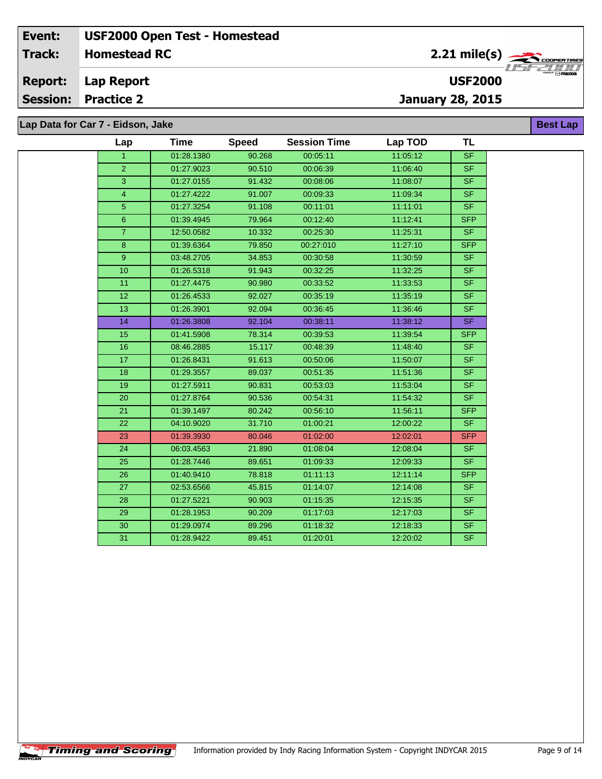**Lap Report Report:**

**Session: Practice 2**

 $\overline{\phantom{a}}$ 

**January 28, 2015**

**Lap Data for Car 7 - Eidson, Jake**

| Lap             | <b>Time</b> | <b>Speed</b> | <b>Session Time</b> | Lap TOD  | <b>TL</b>  |
|-----------------|-------------|--------------|---------------------|----------|------------|
| $\mathbf{1}$    | 01:28.1380  | 90.268       | 00:05:11            | 11:05:12 | <b>SF</b>  |
| $\overline{2}$  | 01:27.9023  | 90.510       | 00:06:39            | 11:06:40 | <b>SF</b>  |
| 3               | 01:27.0155  | 91.432       | 00:08:06            | 11:08:07 | <b>SF</b>  |
| 4               | 01:27.4222  | 91.007       | 00:09:33            | 11:09:34 | <b>SF</b>  |
| 5               | 01:27.3254  | 91.108       | 00:11:01            | 11:11:01 | <b>SF</b>  |
| $6\phantom{1}$  | 01:39.4945  | 79.964       | 00:12:40            | 11:12:41 | SFP        |
| $\overline{7}$  | 12:50.0582  | 10.332       | 00:25:30            | 11:25:31 | <b>SF</b>  |
| 8               | 01:39.6364  | 79.850       | 00:27:010           | 11:27:10 | SFP        |
| 9 <sup>°</sup>  | 03:48.2705  | 34.853       | 00:30:58            | 11:30:59 | SF.        |
| $\overline{10}$ | 01:26.5318  | 91.943       | 00:32:25            | 11:32:25 | <b>SF</b>  |
| 11              | 01:27.4475  | 90.980       | 00:33:52            | 11:33:53 | <b>SF</b>  |
| 12 <sub>2</sub> | 01:26.4533  | 92.027       | 00:35:19            | 11:35:19 | <b>SF</b>  |
| 13              | 01:26.3901  | 92.094       | 00:36:45            | 11:36:46 | <b>SF</b>  |
| 14              | 01:26.3808  | 92.104       | 00:38:11            | 11:38:12 | <b>SF</b>  |
| 15              | 01:41.5908  | 78.314       | 00:39:53            | 11:39:54 | <b>SFP</b> |
| 16              | 08:46.2885  | 15.117       | 00:48:39            | 11:48:40 | <b>SF</b>  |
| 17              | 01:26.8431  | 91.613       | 00:50:06            | 11:50:07 | <b>SF</b>  |
| 18              | 01:29.3557  | 89.037       | 00:51:35            | 11:51:36 | SF.        |
| 19              | 01:27.5911  | 90.831       | 00:53:03            | 11:53:04 | <b>SF</b>  |
| 20              | 01:27.8764  | 90.536       | 00:54:31            | 11:54:32 | <b>SF</b>  |
| 21              | 01:39.1497  | 80.242       | 00:56:10            | 11:56:11 | SFP        |
| 22              | 04:10.9020  | 31.710       | 01:00:21            | 12:00:22 | SF.        |
| 23              | 01:39.3930  | 80.046       | 01:02:00            | 12:02:01 | <b>SFP</b> |
| 24              | 06:03.4563  | 21.890       | 01:08:04            | 12:08:04 | <b>SF</b>  |
| 25              | 01:28.7446  | 89.651       | 01:09:33            | 12:09:33 | SF.        |
| 26              | 01:40.9410  | 78.818       | 01:11:13            | 12:11:14 | SFP        |
| 27              | 02:53.6566  | 45.815       | 01:14:07            | 12:14:08 | <b>SF</b>  |
| 28              | 01:27.5221  | 90.903       | 01:15:35            | 12:15:35 | SF.        |
| 29              | 01:28.1953  | 90.209       | 01:17:03            | 12:17:03 | <b>SF</b>  |
| 30              | 01:29.0974  | 89.296       | 01:18:32            | 12:18:33 | <b>SF</b>  |
| 31              | 01:28.9422  | 89.451       | 01:20:01            | 12:20:02 | <b>SF</b>  |



**Best Lap**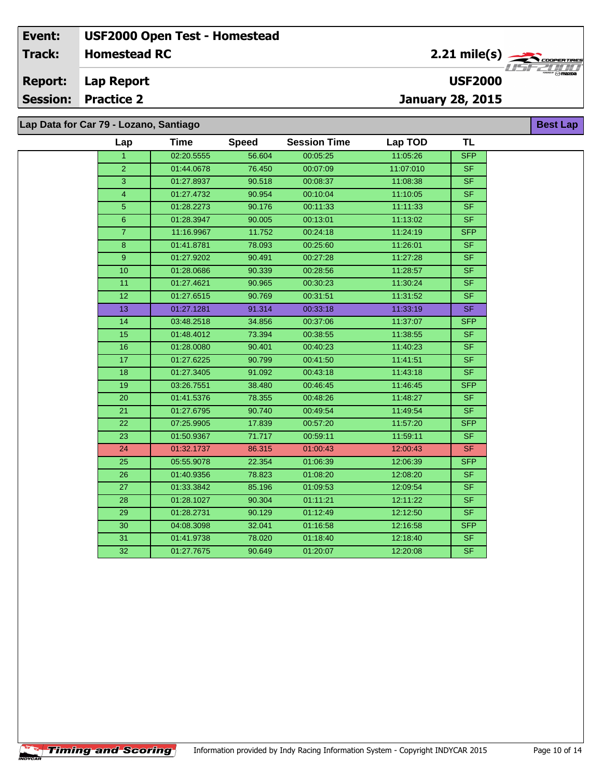**Lap Report Report:**

**Session: Practice 2**

**January 28, 2015**

**Lap Data for Car 79 - Lozano, Santiago**

| Lap              | <b>Time</b> | <b>Speed</b> | <b>Session Time</b> | Lap TOD   | TL                       |
|------------------|-------------|--------------|---------------------|-----------|--------------------------|
| $\mathbf{1}$     | 02:20.5555  | 56.604       | 00:05:25            | 11:05:26  | <b>SFP</b>               |
| $\overline{2}$   | 01:44.0678  | 76.450       | 00:07:09            | 11:07:010 | SF                       |
| $\overline{3}$   | 01:27.8937  | 90.518       | 00:08:37            | 11:08:38  | $\overline{\text{SF}}$   |
| $\overline{4}$   | 01:27.4732  | 90.954       | 00:10:04            | 11:10:05  | $S_{F}$                  |
| $5\phantom{.}$   | 01:28.2273  | 90.176       | 00:11:33            | 11:11:33  | <b>SF</b>                |
| $6\phantom{.}6$  | 01:28.3947  | 90.005       | 00:13:01            | 11:13:02  | <b>SF</b>                |
| $\overline{7}$   | 11:16.9967  | 11.752       | 00:24:18            | 11:24:19  | <b>SFP</b>               |
| 8                | 01:41.8781  | 78.093       | 00:25:60            | 11:26:01  | SF                       |
| $\boldsymbol{9}$ | 01:27.9202  | 90.491       | 00:27:28            | 11:27:28  | <b>SF</b>                |
| 10               | 01:28.0686  | 90.339       | 00:28:56            | 11:28:57  | <b>SF</b>                |
| 11               | 01:27.4621  | 90.965       | 00:30:23            | 11:30:24  | <b>SF</b>                |
| $\overline{12}$  | 01:27.6515  | 90.769       | 00:31:51            | 11:31:52  | $\overline{\text{SF}}$   |
| 13               | 01:27.1281  | 91.314       | 00:33:18            | 11:33:19  | <b>SF</b>                |
| 14               | 03:48.2518  | 34.856       | 00:37:06            | 11:37:07  | <b>SFP</b>               |
| 15               | 01:48.4012  | 73.394       | 00:38:55            | 11:38:55  | SF                       |
| 16               | 01:28.0080  | 90.401       | 00:40:23            | 11:40:23  | SF                       |
| 17               | 01:27.6225  | 90.799       | 00:41:50            | 11:41:51  | $\overline{\mathsf{SF}}$ |
| 18               | 01:27.3405  | 91.092       | 00:43:18            | 11:43:18  | SF.                      |
| 19               | 03:26.7551  | 38.480       | 00:46:45            | 11:46:45  | <b>SFP</b>               |
| 20               | 01:41.5376  | 78.355       | 00:48:26            | 11:48:27  | SF                       |
| $\overline{21}$  | 01:27.6795  | 90.740       | 00:49:54            | 11:49:54  | SF                       |
| 22               | 07:25.9905  | 17.839       | 00:57:20            | 11:57:20  | <b>SFP</b>               |
| 23               | 01:50.9367  | 71.717       | 00:59:11            | 11:59:11  | <b>SF</b>                |
| 24               | 01:32.1737  | 86.315       | 01:00:43            | 12:00:43  | <b>SF</b>                |
| 25               | 05:55.9078  | 22.354       | 01:06:39            | 12:06:39  | <b>SFP</b>               |
| 26               | 01:40.9356  | 78.823       | 01:08:20            | 12:08:20  | <b>SF</b>                |
| 27               | 01:33.3842  | 85.196       | 01:09:53            | 12:09:54  | <b>SF</b>                |
| 28               | 01:28.1027  | 90.304       | 01:11:21            | 12:11:22  | SF                       |
| 29               | 01:28.2731  | 90.129       | 01:12:49            | 12:12:50  | <b>SF</b>                |
| 30               | 04:08.3098  | 32.041       | 01:16:58            | 12:16:58  | <b>SFP</b>               |
| 31               | 01:41.9738  | 78.020       | 01:18:40            | 12:18:40  | SF.                      |
| $\overline{32}$  | 01:27.7675  | 90.649       | 01:20:07            | 12:20:08  | S <sub>F</sub>           |

**USF2000**

**Timing and Scoring**  $\overline{\phantom{a}}$ 



**Best Lap**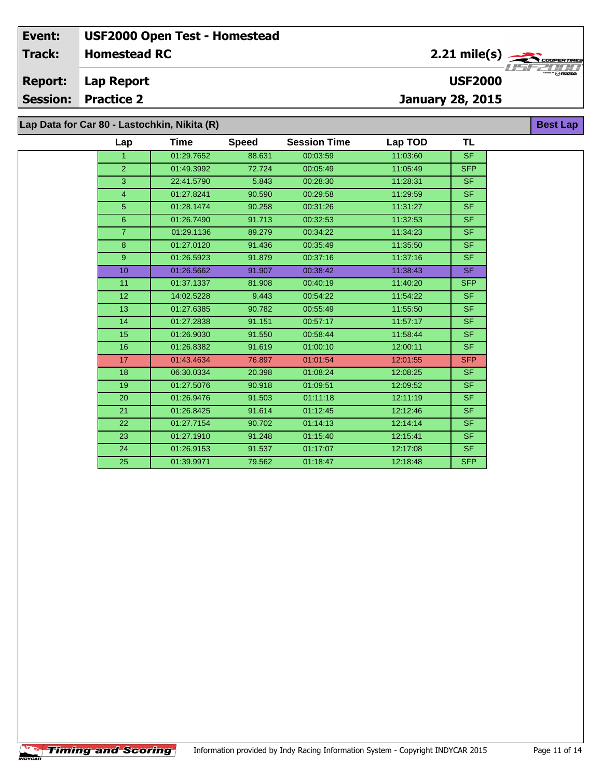**Lap Report Report:**

**Session: Practice 2**

# **Lap Data for Car 80 - Lastochkin, Nikita (R)**

| Lap              | Time       | <b>Speed</b> | <b>Session Time</b> | Lap TOD  | TL                       |  |
|------------------|------------|--------------|---------------------|----------|--------------------------|--|
| $\mathbf{1}$     | 01:29.7652 | 88.631       | 00:03:59            | 11:03:60 | <b>SF</b>                |  |
| 2 <sup>1</sup>   | 01:49.3992 | 72.724       | 00:05:49            | 11:05:49 | <b>SFP</b>               |  |
| 3                | 22:41.5790 | 5.843        | 00:28:30            | 11:28:31 | <b>SF</b>                |  |
| $\overline{4}$   | 01:27.8241 | 90.590       | 00:29:58            | 11:29:59 | <b>SF</b>                |  |
| 5 <sup>5</sup>   | 01:28.1474 | 90.258       | 00:31:26            | 11:31:27 | $\overline{\mathsf{SF}}$ |  |
| $6\phantom{1}$   | 01:26.7490 | 91.713       | 00:32:53            | 11:32:53 | <b>SF</b>                |  |
| $\overline{7}$   | 01:29.1136 | 89.279       | 00:34:22            | 11:34:23 | SF.                      |  |
| 8                | 01:27.0120 | 91.436       | 00:35:49            | 11:35:50 | <b>SF</b>                |  |
| 9 <sup>°</sup>   | 01:26.5923 | 91.879       | 00:37:16            | 11:37:16 | <b>SF</b>                |  |
| 10 <sup>10</sup> | 01:26.5662 | 91.907       | 00:38:42            | 11:38:43 | SF.                      |  |
| 11               | 01:37.1337 | 81.908       | 00:40:19            | 11:40:20 | <b>SFP</b>               |  |
| 12 <sup>°</sup>  | 14:02.5228 | 9.443        | 00:54:22            | 11:54:22 | SF.                      |  |
| 13               | 01:27.6385 | 90.782       | 00:55:49            | 11:55:50 | SF.                      |  |
| 14               | 01:27.2838 | 91.151       | 00:57:17            | 11:57:17 | <b>SF</b>                |  |
| 15               | 01:26.9030 | 91.550       | 00:58:44            | 11:58:44 | <b>SF</b>                |  |
| 16               | 01:26.8382 | 91.619       | 01:00:10            | 12:00:11 | <b>SF</b>                |  |
| 17               | 01:43.4634 | 76.897       | 01:01:54            | 12:01:55 | <b>SFP</b>               |  |
| 18               | 06:30.0334 | 20.398       | 01:08:24            | 12:08:25 | SF.                      |  |
| 19               | 01:27.5076 | 90.918       | 01:09:51            | 12:09:52 | <b>SF</b>                |  |
| 20               | 01:26.9476 | 91.503       | 01:11:18            | 12:11:19 | <b>SF</b>                |  |
| 21               | 01:26.8425 | 91.614       | 01:12:45            | 12:12:46 | <b>SF</b>                |  |
| 22               | 01:27.7154 | 90.702       | 01:14:13            | 12:14:14 | <b>SF</b>                |  |
| 23               | 01:27.1910 | 91.248       | 01:15:40            | 12:15:41 | SF.                      |  |
| 24               | 01:26.9153 | 91.537       | 01:17:07            | 12:17:08 | <b>SF</b>                |  |
| 25               | 01:39.9971 | 79.562       | 01:18:47            | 12:18:48 | <b>SFP</b>               |  |
|                  |            |              |                     |          |                          |  |



**Best Lap**

**January 28, 2015**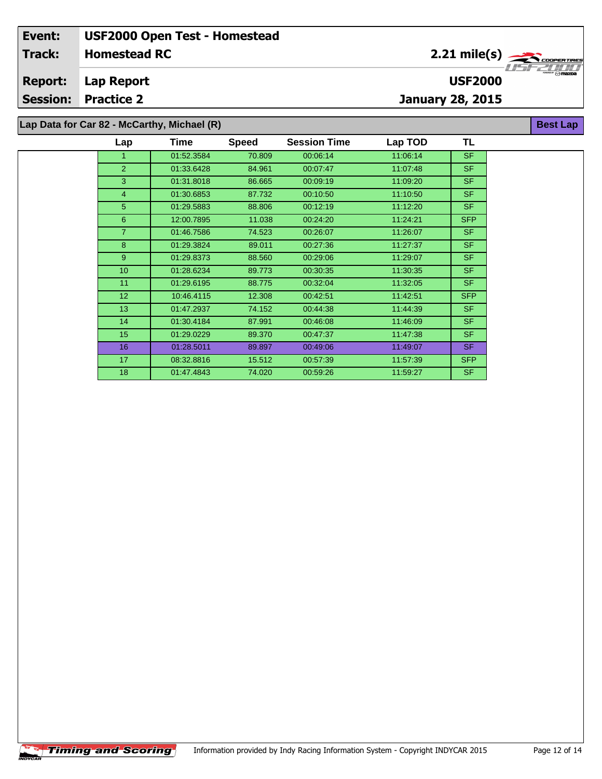**Lap Report Report:**

**Session: Practice 2**

# **Lap Data for Car 82 - McCarthy, Michael (R)**

| Lap             | Time       | <b>Speed</b> | <b>Session Time</b> | Lap TOD  | TL         |
|-----------------|------------|--------------|---------------------|----------|------------|
| 1.              | 01:52.3584 | 70.809       | 00:06:14            | 11:06:14 | <b>SF</b>  |
| $\overline{2}$  | 01:33.6428 | 84.961       | 00:07:47            | 11:07:48 | <b>SF</b>  |
| 3               | 01:31.8018 | 86.665       | 00:09:19            | 11:09:20 | <b>SF</b>  |
| $\overline{4}$  | 01:30.6853 | 87.732       | 00:10:50            | 11:10:50 | <b>SF</b>  |
| 5               | 01:29.5883 | 88.806       | 00:12:19            | 11:12:20 | <b>SF</b>  |
| 6               | 12:00.7895 | 11.038       | 00:24:20            | 11:24:21 | <b>SFP</b> |
| $\overline{7}$  | 01:46.7586 | 74.523       | 00:26:07            | 11:26:07 | <b>SF</b>  |
| 8               | 01:29.3824 | 89.011       | 00:27:36            | 11:27:37 | SF.        |
| 9 <sup>°</sup>  | 01:29.8373 | 88.560       | 00:29:06            | 11:29:07 | SF.        |
| 10 <sub>1</sub> | 01:28.6234 | 89.773       | 00:30:35            | 11:30:35 | SF.        |
| 11              | 01:29.6195 | 88.775       | 00:32:04            | 11:32:05 | <b>SF</b>  |
| 12              | 10:46.4115 | 12.308       | 00:42:51            | 11:42:51 | <b>SFP</b> |
| 13              | 01:47.2937 | 74.152       | 00:44:38            | 11:44:39 | <b>SF</b>  |
| 14              | 01:30.4184 | 87.991       | 00:46:08            | 11:46:09 | <b>SF</b>  |
| 15              | 01:29.0229 | 89.370       | 00:47:37            | 11:47:38 | <b>SF</b>  |
| 16              | 01:28.5011 | 89.897       | 00:49:06            | 11:49:07 | <b>SF</b>  |
| 17              | 08:32.8816 | 15.512       | 00:57:39            | 11:57:39 | <b>SFP</b> |
| 18              | 01:47.4843 | 74.020       | 00:59:26            | 11:59:27 | <b>SF</b>  |



**January 28, 2015**





**Best Lap**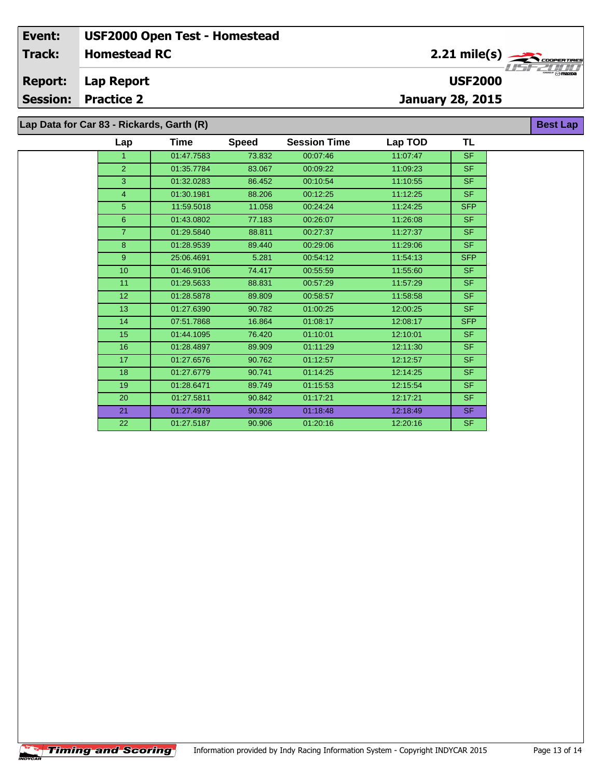**Lap Report Report:**

**Session: Practice 2**

# **Lap Data for Car 83 - Rickards, Garth (R)**

| Lap            | Time       | <b>Speed</b> | <b>Session Time</b> | Lap TOD  | <b>TL</b>  |  |
|----------------|------------|--------------|---------------------|----------|------------|--|
| 1              | 01:47.7583 | 73.832       | 00:07:46            | 11:07:47 | SF.        |  |
| $\overline{2}$ | 01:35.7784 | 83.067       | 00:09:22            | 11:09:23 | SF.        |  |
| 3              | 01:32.0283 | 86.452       | 00:10:54            | 11:10:55 | <b>SF</b>  |  |
| $\overline{4}$ | 01:30.1981 | 88.206       | 00:12:25            | 11:12:25 | SF.        |  |
| 5              | 11:59.5018 | 11.058       | 00:24:24            | 11:24:25 | <b>SFP</b> |  |
| 6              | 01:43.0802 | 77.183       | 00:26:07            | 11:26:08 | SF.        |  |
| $\overline{7}$ | 01:29.5840 | 88.811       | 00:27:37            | 11:27:37 | SF.        |  |
| 8              | 01:28.9539 | 89.440       | 00:29:06            | 11:29:06 | SF.        |  |
| 9              | 25:06.4691 | 5.281        | 00:54:12            | 11:54:13 | <b>SFP</b> |  |
| 10             | 01:46.9106 | 74.417       | 00:55:59            | 11:55:60 | SF.        |  |
| 11             | 01:29.5633 | 88.831       | 00:57:29            | 11:57:29 | SF.        |  |
| 12             | 01:28.5878 | 89.809       | 00:58:57            | 11:58:58 | SF.        |  |
| 13             | 01:27.6390 | 90.782       | 01:00:25            | 12:00:25 | SF.        |  |
| 14             | 07:51.7868 | 16.864       | 01:08:17            | 12:08:17 | <b>SFP</b> |  |
| 15             | 01:44.1095 | 76.420       | 01:10:01            | 12:10:01 | <b>SF</b>  |  |
| 16             | 01:28.4897 | 89.909       | 01:11:29            | 12:11:30 | <b>SF</b>  |  |
| 17             | 01:27.6576 | 90.762       | 01:12:57            | 12:12:57 | <b>SF</b>  |  |
| 18             | 01:27.6779 | 90.741       | 01:14:25            | 12:14:25 | SF.        |  |
| 19             | 01:28.6471 | 89.749       | 01:15:53            | 12:15:54 | SF.        |  |
| 20             | 01:27.5811 | 90.842       | 01:17:21            | 12:17:21 | <b>SF</b>  |  |
| 21             | 01:27.4979 | 90.928       | 01:18:48            | 12:18:49 | SF.        |  |
| 22             | 01:27.5187 | 90.906       | 01:20:16            | 12:20:16 | <b>SF</b>  |  |



**Best Lap**

**Timing and Scoring**  $\overline{\phantom{a}}$